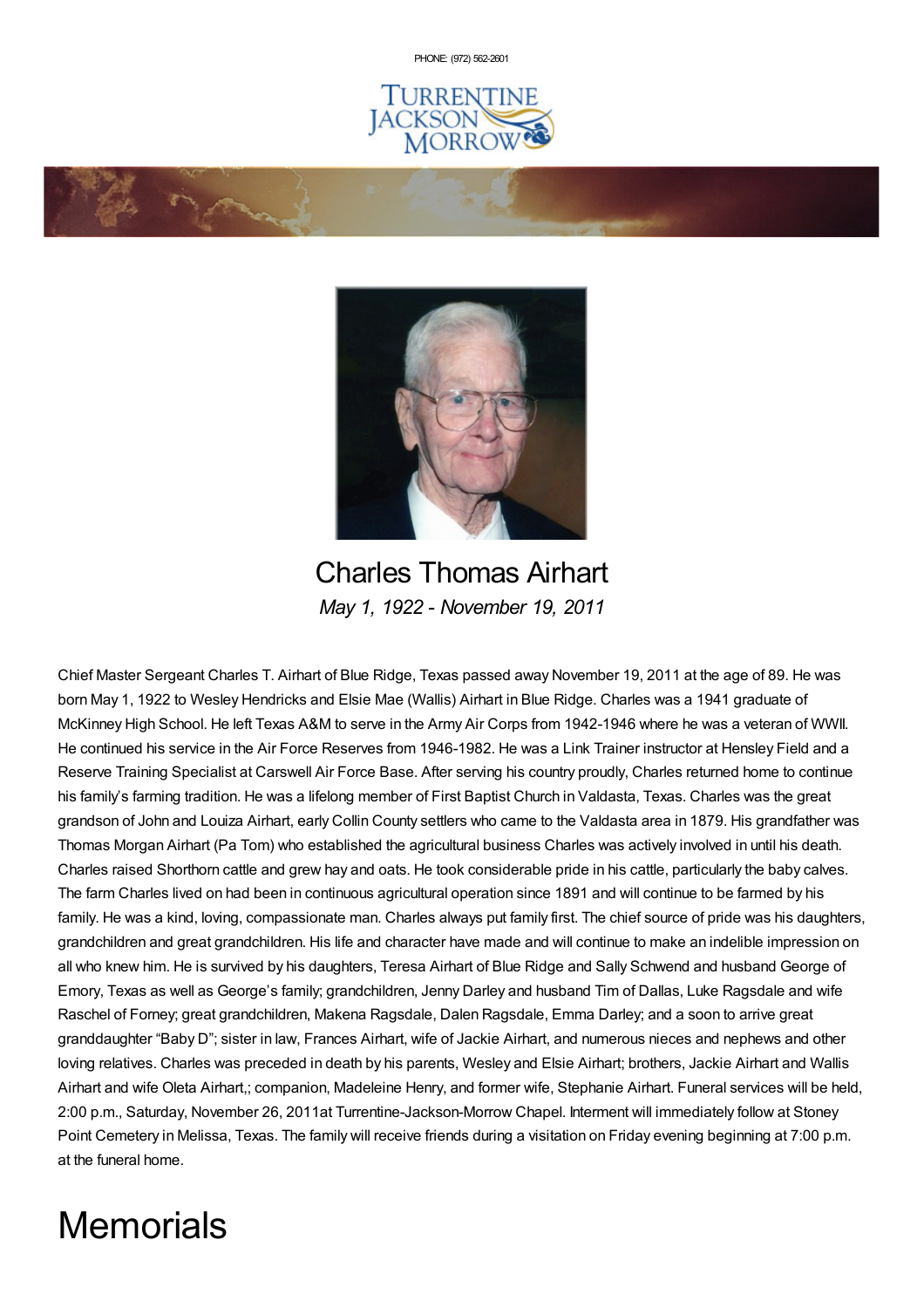PHONE: (972) [562-2601](tel:(972) 562-2601)





Charles Thomas Airhart *May 1, 1922 - November 19, 2011*

Chief Master Sergeant Charles T. Airhart of Blue Ridge, Texas passed away November 19, 2011 at the age of 89. He was born May 1, 1922 to Wesley Hendricks and Elsie Mae (Wallis) Airhart in Blue Ridge. Charles was a 1941 graduate of McKinney High School. He left Texas A&M to serve in the Army Air Corps from 1942-1946 where he was a veteran of WWII. He continued his service in the Air Force Reserves from 1946-1982. He was a Link Trainer instructor at Hensley Field and a Reserve Training Specialist at Carswell Air Force Base. After serving his country proudly, Charles returned home to continue his family's farming tradition. He was a lifelong member of First Baptist Church in Valdasta, Texas. Charles was the great grandson of John and Louiza Airhart, early Collin County settlers who came to the Valdasta area in 1879. His grandfather was Thomas Morgan Airhart (Pa Tom) who established the agricultural business Charles was actively involved in until his death. Charles raised Shorthorn cattle and grew hay and oats. He took considerable pride in his cattle, particularly the baby calves. The farm Charles lived on had been in continuous agricultural operation since 1891 and will continue to be farmed by his family. He was a kind, loving, compassionate man. Charles always put family first. The chief source of pride was his daughters, grandchildren and great grandchildren. His life and character have made and will continue to make an indelible impression on all who knew him. He is survived by his daughters, Teresa Airhart of Blue Ridge and Sally Schwend and husband George of Emory, Texas as well as George's family; grandchildren, Jenny Darley and husband Tim of Dallas, Luke Ragsdale and wife Raschel of Forney; great grandchildren, Makena Ragsdale, Dalen Ragsdale, Emma Darley; and a soon to arrive great granddaughter "Baby D"; sister in law, Frances Airhart, wife of Jackie Airhart, and numerous nieces and nephews and other loving relatives. Charles was preceded in death by his parents, Wesley and Elsie Airhart; brothers, Jackie Airhart and Wallis Airhart and wife Oleta Airhart,; companion, Madeleine Henry, and former wife, Stephanie Airhart. Funeral services will be held, 2:00 p.m., Saturday, November 26, 2011at Turrentine-Jackson-Morrow Chapel. Interment will immediately follow at Stoney Point Cemetery in Melissa, Texas. The family will receive friends during a visitation on Friday evening beginning at 7:00 p.m. at the funeral home.

## **Memorials**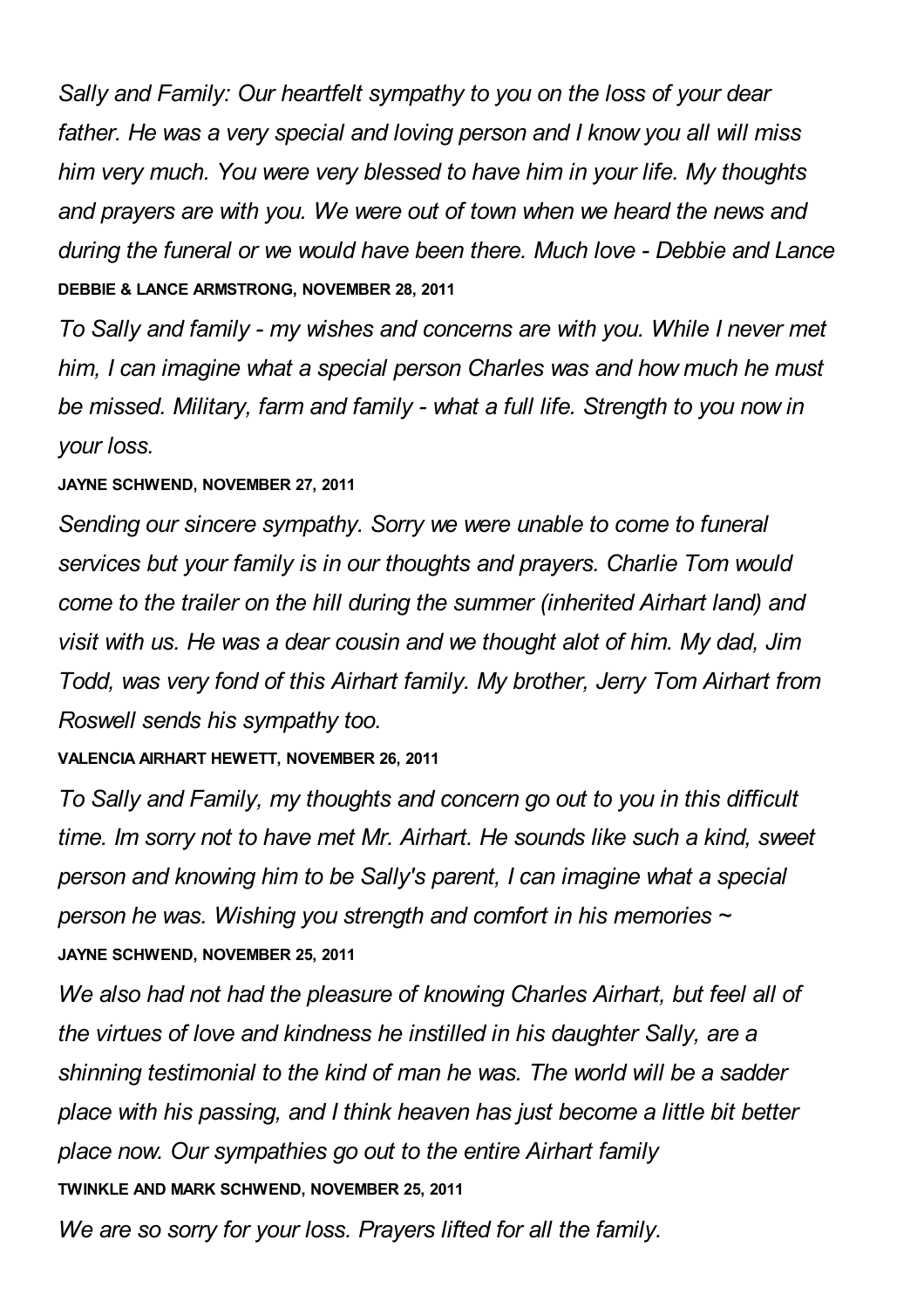*Sally and Family: Our heartfelt sympathy to you on the loss of your dear father. He was a very special and loving person and I know you all will miss him very much. You were very blessed to have him in your life. My thoughts and prayers are with you. We were out of town when we heard the news and during the funeral or we would have been there. Much love - Debbie and Lance* **DEBBIE & LANCE ARMSTRONG, NOVEMBER 28, 2011**

*To Sally and family - my wishes and concerns are with you. While I never met him, I can imagine what a special person Charles was and how much he must be missed. Military, farm and family - what a full life. Strength to you now in your loss.*

## **JAYNE SCHWEND, NOVEMBER 27, 2011**

*Sending our sincere sympathy. Sorry we were unable to come to funeral services but your family is in our thoughts and prayers. Charlie Tom would come to the trailer on the hill during the summer (inherited Airhart land) and visit with us. He was a dear cousin and we thought alot of him. My dad, Jim Todd, was very fond of this Airhart family. My brother, Jerry Tom Airhart from Roswell sends his sympathy too.*

## **VALENCIA AIRHART HEWETT, NOVEMBER 26, 2011**

*To Sally and Family, my thoughts and concern go out to you in this difficult time. Im sorry not to have met Mr. Airhart. He sounds like such a kind, sweet person and knowing him to be Sally's parent, I can imagine what a special person he was. Wishing you strength and comfort in his memories ~* **JAYNE SCHWEND, NOVEMBER 25, 2011**

*We also had not had the pleasure of knowing Charles Airhart, but feel all of the virtues of love and kindness he instilled in his daughter Sally, are a shinning testimonial to the kind of man he was. The world will be a sadder place with his passing, and I think heaven has just become a little bit better place now. Our sympathies go out to the entire Airhart family* **TWINKLE AND MARK SCHWEND, NOVEMBER 25, 2011**

*We are so sorry for your loss. Prayers lifted for all the family.*